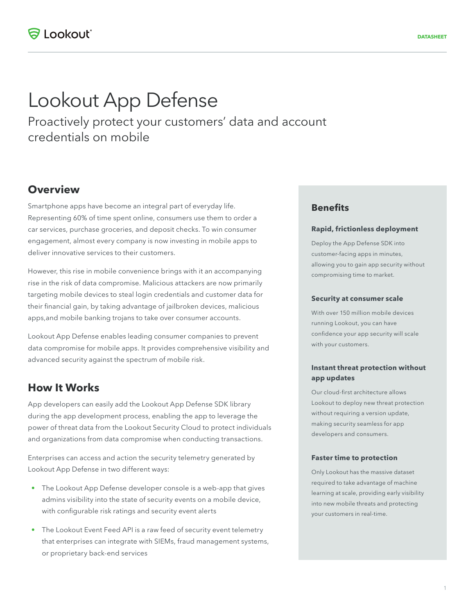# Lookout App Defense

Proactively protect your customers' data and account credentials on mobile

## **Overview**

Smartphone apps have become an integral part of everyday life. Representing 60% of time spent online, consumers use them to order a car services, purchase groceries, and deposit checks. To win consumer engagement, almost every company is now investing in mobile apps to deliver innovative services to their customers.

However, this rise in mobile convenience brings with it an accompanying rise in the risk of data compromise. Malicious attackers are now primarily targeting mobile devices to steal login credentials and customer data for their financial gain, by taking advantage of jailbroken devices, malicious apps,and mobile banking trojans to take over consumer accounts.

Lookout App Defense enables leading consumer companies to prevent data compromise for mobile apps. It provides comprehensive visibility and advanced security against the spectrum of mobile risk.

## **How It Works**

App developers can easily add the Lookout App Defense SDK library during the app development process, enabling the app to leverage the power of threat data from the Lookout Security Cloud to protect individuals and organizations from data compromise when conducting transactions.

Enterprises can access and action the security telemetry generated by Lookout App Defense in two different ways:

- The Lookout App Defense developer console is a web-app that gives admins visibility into the state of security events on a mobile device, with configurable risk ratings and security event alerts
- The Lookout Event Feed API is a raw feed of security event telemetry that enterprises can integrate with SIEMs, fraud management systems, or proprietary back-end services

### **Benefits**

#### **Rapid, frictionless deployment**

Deploy the App Defense SDK into customer-facing apps in minutes, allowing you to gain app security without compromising time to market.

#### **Security at consumer scale**

With over 150 million mobile devices running Lookout, you can have confidence your app security will scale with your customers.

#### **Instant threat protection without app updates**

Our cloud-first architecture allows Lookout to deploy new threat protection without requiring a version update, making security seamless for app developers and consumers.

#### **Faster time to protection**

Only Lookout has the massive dataset required to take advantage of machine learning at scale, providing early visibility into new mobile threats and protecting your customers in real-time.